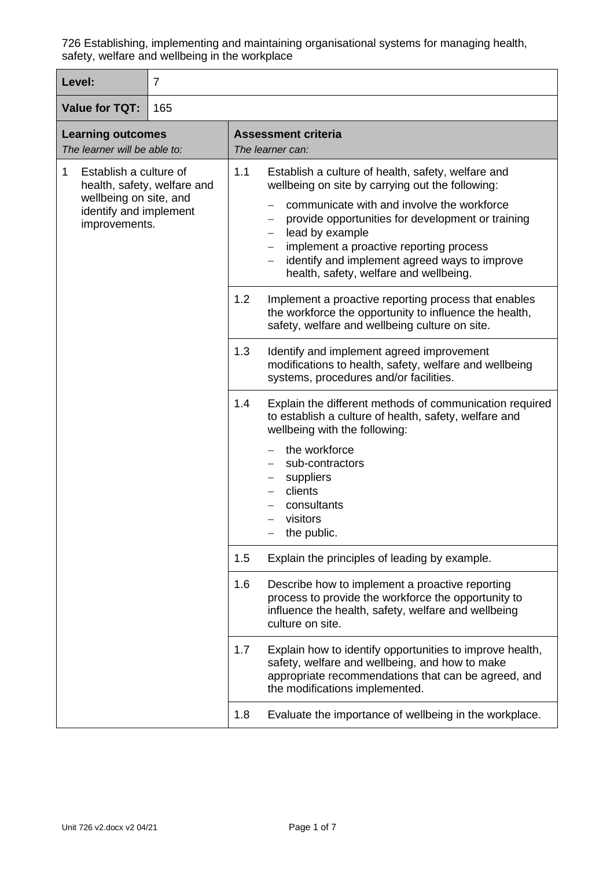| Level:                                                                                                                          | $\overline{7}$ |                                                                                                                                                                                                                                                                                                                                                                                                                                   |  |
|---------------------------------------------------------------------------------------------------------------------------------|----------------|-----------------------------------------------------------------------------------------------------------------------------------------------------------------------------------------------------------------------------------------------------------------------------------------------------------------------------------------------------------------------------------------------------------------------------------|--|
| <b>Value for TQT:</b><br>165                                                                                                    |                |                                                                                                                                                                                                                                                                                                                                                                                                                                   |  |
| <b>Learning outcomes</b><br>The learner will be able to:                                                                        |                | <b>Assessment criteria</b><br>The learner can:                                                                                                                                                                                                                                                                                                                                                                                    |  |
| Establish a culture of<br>1<br>health, safety, welfare and<br>wellbeing on site, and<br>identify and implement<br>improvements. |                | 1.1<br>Establish a culture of health, safety, welfare and<br>wellbeing on site by carrying out the following:<br>communicate with and involve the workforce<br>provide opportunities for development or training<br>$\overline{\phantom{m}}$<br>lead by example<br>$\overline{\phantom{m}}$<br>implement a proactive reporting process<br>identify and implement agreed ways to improve<br>health, safety, welfare and wellbeing. |  |
|                                                                                                                                 |                | 1.2<br>Implement a proactive reporting process that enables<br>the workforce the opportunity to influence the health,<br>safety, welfare and wellbeing culture on site.                                                                                                                                                                                                                                                           |  |
|                                                                                                                                 |                | 1.3<br>Identify and implement agreed improvement<br>modifications to health, safety, welfare and wellbeing<br>systems, procedures and/or facilities.                                                                                                                                                                                                                                                                              |  |
|                                                                                                                                 |                | 1.4<br>Explain the different methods of communication required<br>to establish a culture of health, safety, welfare and<br>wellbeing with the following:<br>the workforce<br>sub-contractors<br>suppliers<br>$\overline{\phantom{m}}$<br>clients<br>consultants<br>visitors<br>the public.                                                                                                                                        |  |
|                                                                                                                                 |                | Explain the principles of leading by example.<br>1.5                                                                                                                                                                                                                                                                                                                                                                              |  |
|                                                                                                                                 |                | 1.6<br>Describe how to implement a proactive reporting<br>process to provide the workforce the opportunity to<br>influence the health, safety, welfare and wellbeing<br>culture on site.                                                                                                                                                                                                                                          |  |
|                                                                                                                                 |                | 1.7<br>Explain how to identify opportunities to improve health,<br>safety, welfare and wellbeing, and how to make<br>appropriate recommendations that can be agreed, and<br>the modifications implemented.                                                                                                                                                                                                                        |  |
|                                                                                                                                 |                | 1.8<br>Evaluate the importance of wellbeing in the workplace.                                                                                                                                                                                                                                                                                                                                                                     |  |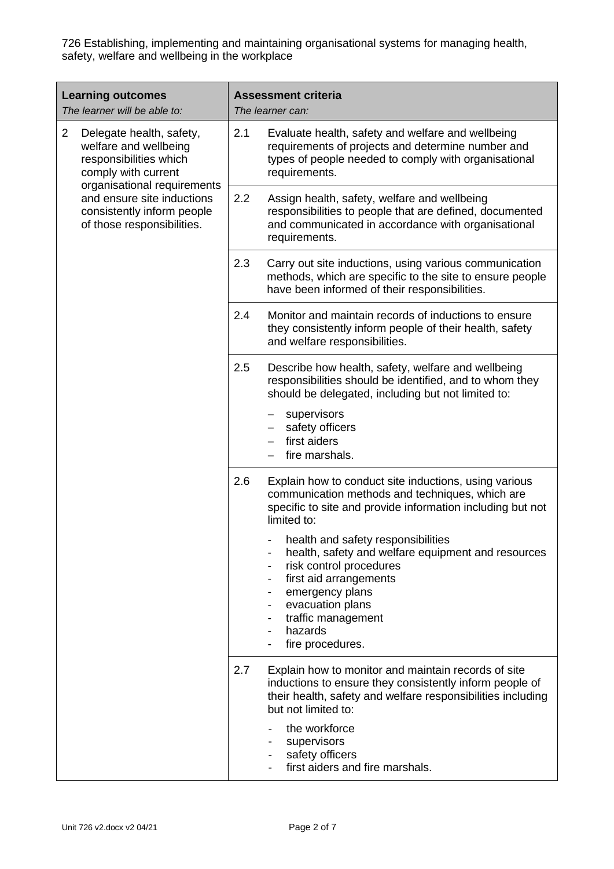| <b>Learning outcomes</b><br>The learner will be able to:                                                                                            | <b>Assessment criteria</b><br>The learner can:                                                                                                                                                                                            |  |  |
|-----------------------------------------------------------------------------------------------------------------------------------------------------|-------------------------------------------------------------------------------------------------------------------------------------------------------------------------------------------------------------------------------------------|--|--|
| $\overline{2}$<br>Delegate health, safety,<br>welfare and wellbeing<br>responsibilities which<br>comply with current<br>organisational requirements | 2.1<br>Evaluate health, safety and welfare and wellbeing<br>requirements of projects and determine number and<br>types of people needed to comply with organisational<br>requirements.                                                    |  |  |
| and ensure site inductions<br>consistently inform people<br>of those responsibilities.                                                              | 2.2<br>Assign health, safety, welfare and wellbeing<br>responsibilities to people that are defined, documented<br>and communicated in accordance with organisational<br>requirements.                                                     |  |  |
|                                                                                                                                                     | 2.3<br>Carry out site inductions, using various communication<br>methods, which are specific to the site to ensure people<br>have been informed of their responsibilities.                                                                |  |  |
|                                                                                                                                                     | 2.4<br>Monitor and maintain records of inductions to ensure<br>they consistently inform people of their health, safety<br>and welfare responsibilities.                                                                                   |  |  |
|                                                                                                                                                     | 2.5<br>Describe how health, safety, welfare and wellbeing<br>responsibilities should be identified, and to whom they<br>should be delegated, including but not limited to:                                                                |  |  |
|                                                                                                                                                     | supervisors<br>safety officers<br>$\overline{\phantom{0}}$<br>first aiders<br>fire marshals.                                                                                                                                              |  |  |
|                                                                                                                                                     | 2.6<br>Explain how to conduct site inductions, using various<br>communication methods and techniques, which are<br>specific to site and provide information including but not<br>limited to:                                              |  |  |
|                                                                                                                                                     | health and safety responsibilities<br>health, safety and welfare equipment and resources<br>risk control procedures<br>first aid arrangements<br>emergency plans<br>evacuation plans<br>traffic management<br>hazards<br>fire procedures. |  |  |
|                                                                                                                                                     | 2.7<br>Explain how to monitor and maintain records of site<br>inductions to ensure they consistently inform people of<br>their health, safety and welfare responsibilities including<br>but not limited to:                               |  |  |
|                                                                                                                                                     | the workforce<br>supervisors<br>safety officers<br>first aiders and fire marshals.                                                                                                                                                        |  |  |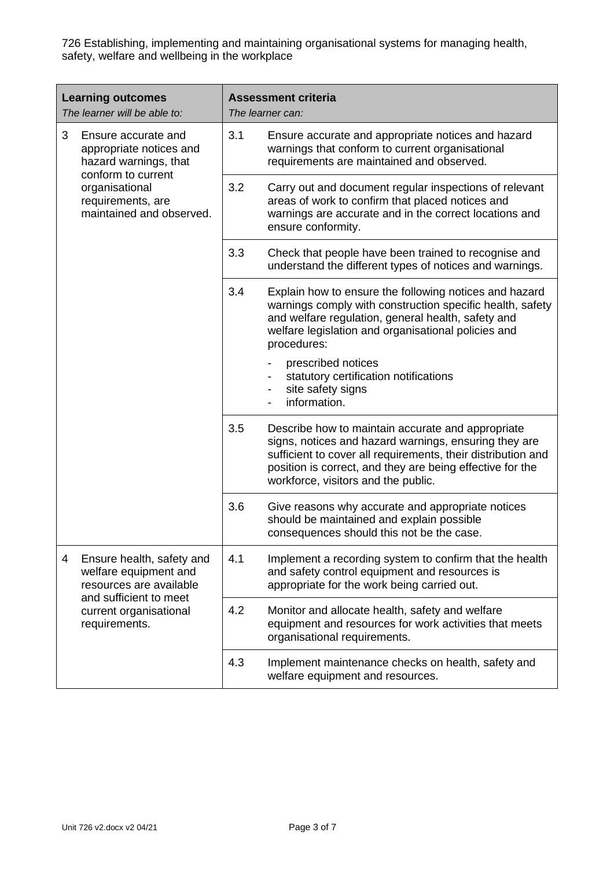| <b>Learning outcomes</b><br>The learner will be able to:                                                                   |                                                                                                                                                                  | <b>Assessment criteria</b><br>The learner can: |                                                                                                                                                                                                                                                                                |
|----------------------------------------------------------------------------------------------------------------------------|------------------------------------------------------------------------------------------------------------------------------------------------------------------|------------------------------------------------|--------------------------------------------------------------------------------------------------------------------------------------------------------------------------------------------------------------------------------------------------------------------------------|
| 3                                                                                                                          | Ensure accurate and<br>appropriate notices and<br>hazard warnings, that<br>conform to current<br>organisational<br>requirements, are<br>maintained and observed. | 3.1                                            | Ensure accurate and appropriate notices and hazard<br>warnings that conform to current organisational<br>requirements are maintained and observed.                                                                                                                             |
|                                                                                                                            |                                                                                                                                                                  | 3.2                                            | Carry out and document regular inspections of relevant<br>areas of work to confirm that placed notices and<br>warnings are accurate and in the correct locations and<br>ensure conformity.                                                                                     |
|                                                                                                                            |                                                                                                                                                                  | 3.3                                            | Check that people have been trained to recognise and<br>understand the different types of notices and warnings.                                                                                                                                                                |
|                                                                                                                            |                                                                                                                                                                  | 3.4                                            | Explain how to ensure the following notices and hazard<br>warnings comply with construction specific health, safety<br>and welfare regulation, general health, safety and<br>welfare legislation and organisational policies and<br>procedures:                                |
|                                                                                                                            |                                                                                                                                                                  |                                                | prescribed notices<br>statutory certification notifications<br>site safety signs<br>information.                                                                                                                                                                               |
|                                                                                                                            |                                                                                                                                                                  | 3.5                                            | Describe how to maintain accurate and appropriate<br>signs, notices and hazard warnings, ensuring they are<br>sufficient to cover all requirements, their distribution and<br>position is correct, and they are being effective for the<br>workforce, visitors and the public. |
|                                                                                                                            |                                                                                                                                                                  | 3.6                                            | Give reasons why accurate and appropriate notices<br>should be maintained and explain possible<br>consequences should this not be the case.                                                                                                                                    |
| 4<br>welfare equipment and<br>resources are available<br>and sufficient to meet<br>current organisational<br>requirements. | Ensure health, safety and                                                                                                                                        | 4.1                                            | Implement a recording system to confirm that the health<br>and safety control equipment and resources is<br>appropriate for the work being carried out.                                                                                                                        |
|                                                                                                                            |                                                                                                                                                                  | 4.2                                            | Monitor and allocate health, safety and welfare<br>equipment and resources for work activities that meets<br>organisational requirements.                                                                                                                                      |
|                                                                                                                            |                                                                                                                                                                  | 4.3                                            | Implement maintenance checks on health, safety and<br>welfare equipment and resources.                                                                                                                                                                                         |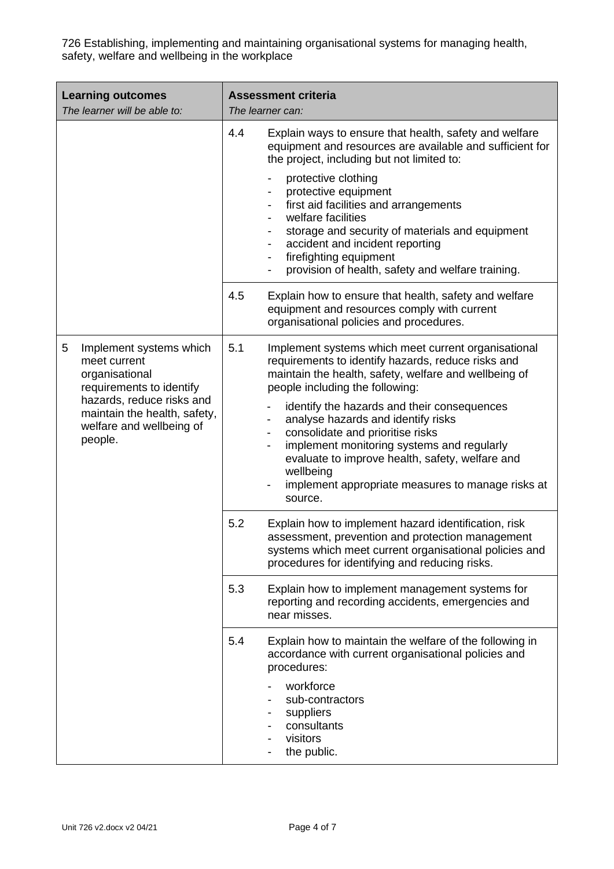| <b>Learning outcomes</b><br>The learner will be able to:                                                                                                                                       | <b>Assessment criteria</b><br>The learner can:                                                                                                                                                                                                                                                                                                                                                                                                                                                                                                                              |  |  |
|------------------------------------------------------------------------------------------------------------------------------------------------------------------------------------------------|-----------------------------------------------------------------------------------------------------------------------------------------------------------------------------------------------------------------------------------------------------------------------------------------------------------------------------------------------------------------------------------------------------------------------------------------------------------------------------------------------------------------------------------------------------------------------------|--|--|
|                                                                                                                                                                                                | 4.4<br>Explain ways to ensure that health, safety and welfare<br>equipment and resources are available and sufficient for<br>the project, including but not limited to:                                                                                                                                                                                                                                                                                                                                                                                                     |  |  |
|                                                                                                                                                                                                | protective clothing<br>protective equipment<br>$\overline{\phantom{a}}$<br>first aid facilities and arrangements<br>$\overline{\phantom{a}}$<br>welfare facilities<br>$\blacksquare$<br>storage and security of materials and equipment<br>$\overline{\phantom{a}}$<br>accident and incident reporting<br>$\blacksquare$<br>firefighting equipment<br>$\blacksquare$<br>provision of health, safety and welfare training.                                                                                                                                                   |  |  |
|                                                                                                                                                                                                | 4.5<br>Explain how to ensure that health, safety and welfare<br>equipment and resources comply with current<br>organisational policies and procedures.                                                                                                                                                                                                                                                                                                                                                                                                                      |  |  |
| 5<br>Implement systems which<br>meet current<br>organisational<br>requirements to identify<br>hazards, reduce risks and<br>maintain the health, safety,<br>welfare and wellbeing of<br>people. | 5.1<br>Implement systems which meet current organisational<br>requirements to identify hazards, reduce risks and<br>maintain the health, safety, welfare and wellbeing of<br>people including the following:<br>identify the hazards and their consequences<br>analyse hazards and identify risks<br>consolidate and prioritise risks<br>$\overline{\phantom{a}}$<br>implement monitoring systems and regularly<br>evaluate to improve health, safety, welfare and<br>wellbeing<br>implement appropriate measures to manage risks at<br>$\overline{\phantom{a}}$<br>source. |  |  |
|                                                                                                                                                                                                | 5.2<br>Explain how to implement hazard identification, risk<br>assessment, prevention and protection management<br>systems which meet current organisational policies and<br>procedures for identifying and reducing risks.                                                                                                                                                                                                                                                                                                                                                 |  |  |
|                                                                                                                                                                                                | 5.3<br>Explain how to implement management systems for<br>reporting and recording accidents, emergencies and<br>near misses.                                                                                                                                                                                                                                                                                                                                                                                                                                                |  |  |
|                                                                                                                                                                                                | 5.4<br>Explain how to maintain the welfare of the following in<br>accordance with current organisational policies and<br>procedures:<br>workforce<br>sub-contractors<br>suppliers<br>consultants<br>visitors<br>the public.                                                                                                                                                                                                                                                                                                                                                 |  |  |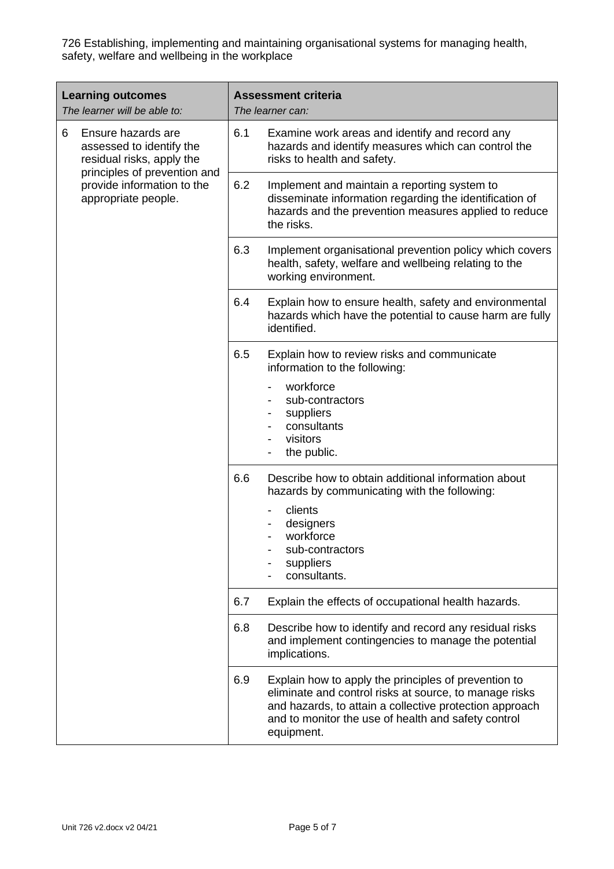| <b>Learning outcomes</b><br>The learner will be able to:                          | <b>Assessment criteria</b><br>The learner can:                                                                                                                                                                                                        |  |  |
|-----------------------------------------------------------------------------------|-------------------------------------------------------------------------------------------------------------------------------------------------------------------------------------------------------------------------------------------------------|--|--|
| Ensure hazards are<br>6<br>assessed to identify the<br>residual risks, apply the  | 6.1<br>Examine work areas and identify and record any<br>hazards and identify measures which can control the<br>risks to health and safety.                                                                                                           |  |  |
| principles of prevention and<br>provide information to the<br>appropriate people. | 6.2<br>Implement and maintain a reporting system to<br>disseminate information regarding the identification of<br>hazards and the prevention measures applied to reduce<br>the risks.                                                                 |  |  |
|                                                                                   | 6.3<br>Implement organisational prevention policy which covers<br>health, safety, welfare and wellbeing relating to the<br>working environment.                                                                                                       |  |  |
|                                                                                   | 6.4<br>Explain how to ensure health, safety and environmental<br>hazards which have the potential to cause harm are fully<br>identified.                                                                                                              |  |  |
|                                                                                   | 6.5<br>Explain how to review risks and communicate<br>information to the following:                                                                                                                                                                   |  |  |
|                                                                                   | workforce<br>sub-contractors<br>suppliers<br>consultants<br>visitors<br>the public.                                                                                                                                                                   |  |  |
|                                                                                   | 6.6<br>Describe how to obtain additional information about<br>hazards by communicating with the following:                                                                                                                                            |  |  |
|                                                                                   | clients<br>designers<br>workforce<br>sub-contractors<br>suppliers<br>consultants.                                                                                                                                                                     |  |  |
|                                                                                   | 6.7<br>Explain the effects of occupational health hazards.                                                                                                                                                                                            |  |  |
|                                                                                   | 6.8<br>Describe how to identify and record any residual risks<br>and implement contingencies to manage the potential<br>implications.                                                                                                                 |  |  |
|                                                                                   | 6.9<br>Explain how to apply the principles of prevention to<br>eliminate and control risks at source, to manage risks<br>and hazards, to attain a collective protection approach<br>and to monitor the use of health and safety control<br>equipment. |  |  |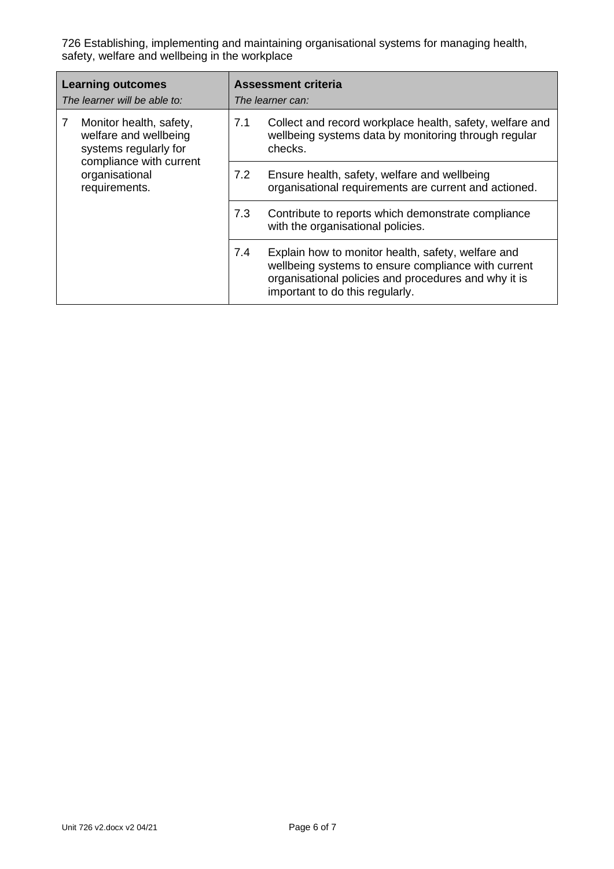| <b>Learning outcomes</b><br>The learner will be able to:                                                  | <b>Assessment criteria</b><br>The learner can: |                                                                                                                                                                                                      |  |
|-----------------------------------------------------------------------------------------------------------|------------------------------------------------|------------------------------------------------------------------------------------------------------------------------------------------------------------------------------------------------------|--|
| Monitor health, safety,<br>7<br>welfare and wellbeing<br>systems regularly for<br>compliance with current | 7.1                                            | Collect and record workplace health, safety, welfare and<br>wellbeing systems data by monitoring through regular<br>checks.                                                                          |  |
| organisational<br>requirements.                                                                           | 7.2                                            | Ensure health, safety, welfare and wellbeing<br>organisational requirements are current and actioned.                                                                                                |  |
|                                                                                                           | 7.3                                            | Contribute to reports which demonstrate compliance<br>with the organisational policies.                                                                                                              |  |
|                                                                                                           | 7.4                                            | Explain how to monitor health, safety, welfare and<br>wellbeing systems to ensure compliance with current<br>organisational policies and procedures and why it is<br>important to do this regularly. |  |